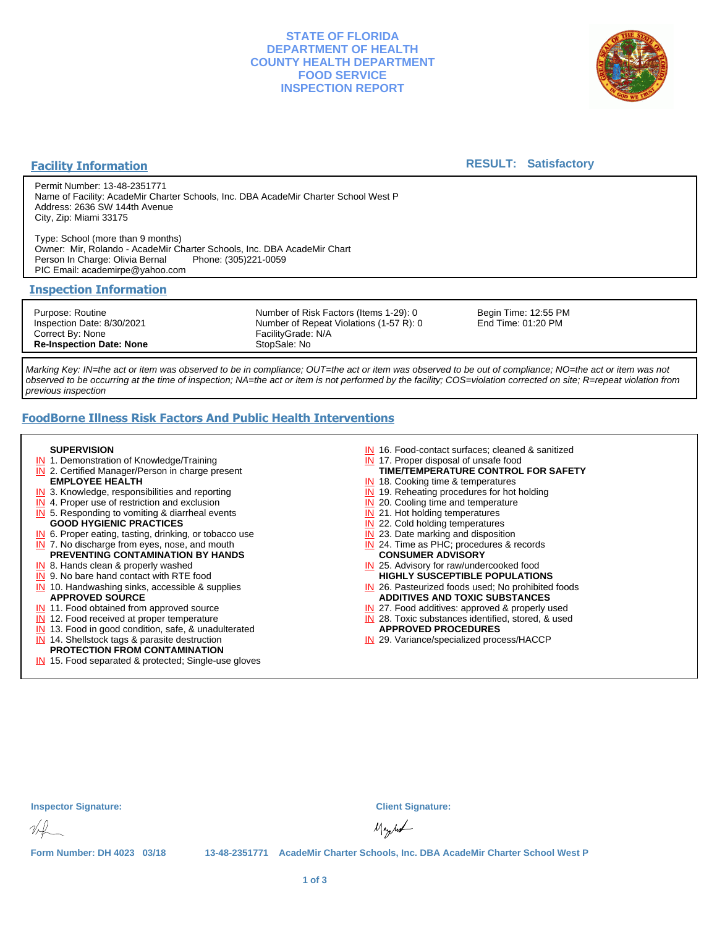# **STATE OF FLORIDA DEPARTMENT OF HEALTH COUNTY HEALTH DEPARTMENT FOOD SERVICE INSPECTION REPORT**



# **Facility Information**

## **RESULT: Satisfactory**

Permit Number: 13-48-2351771 Name of Facility: AcadeMir Charter Schools, Inc. DBA AcadeMir Charter School West P Address: 2636 SW 144th Avenue City, Zip: Miami 33175

Type: School (more than 9 months) Owner: Mir, Rolando - AcadeMir Charter Schools, Inc. DBA AcadeMir Chart Person In Charge: Olivia Bernal PIC Email: academirpe@yahoo.com

#### **Inspection Information**

Purpose: Routine Inspection Date: 8/30/2021 Correct By: None **Re-Inspection Date: None** Number of Risk Factors (Items 1-29): 0 Number of Repeat Violations (1-57 R): 0 FacilityGrade: N/A StopSale: No

Begin Time: 12:55 PM End Time: 01:20 PM

Marking Key: IN=the act or item was observed to be in compliance; OUT=the act or item was observed to be out of compliance; NO=the act or item was not observed to be occurring at the time of inspection; NA=the act or item is not performed by the facility; COS=violation corrected on site; R=repeat violation from previous inspection

# **FoodBorne Illness Risk Factors And Public Health Interventions**

#### **SUPERVISION**

- **IN** 1. Demonstration of Knowledge/Training
- **IN** 2. Certified Manager/Person in charge present **EMPLOYEE HEALTH**
- **IN** 3. Knowledge, responsibilities and reporting
- **IN** 4. Proper use of restriction and exclusion
- **IN** 5. Responding to vomiting & diarrheal events
- **GOOD HYGIENIC PRACTICES**
- **IN** 6. Proper eating, tasting, drinking, or tobacco use **IN** 7. No discharge from eyes, nose, and mouth
- **PREVENTING CONTAMINATION BY HANDS**
- IN 8. Hands clean & properly washed
- **IN** 9. No bare hand contact with RTE food IN 10. Handwashing sinks, accessible & supplies **APPROVED SOURCE**
- **IN** 11. Food obtained from approved source
- **IN** 12. Food received at proper temperature
- IN 13. Food in good condition, safe, & unadulterated
- IN 14. Shellstock tags & parasite destruction

# **PROTECTION FROM CONTAMINATION**

IN 15. Food separated & protected; Single-use gloves

- IN 16. Food-contact surfaces; cleaned & sanitized
- IN 17. Proper disposal of unsafe food
- IN 18. Cooking time & temperatures **TIME/TEMPERATURE CONTROL FOR SAFETY**
- 
- **IN** 19. Reheating procedures for hot holding **IN** 20. Cooling time and temperature
- IN 21. Hot holding temperatures
- **IN** 22. Cold holding temperatures
- **IN** 23. Date marking and disposition
- IN 24. Time as PHC; procedures & records **CONSUMER ADVISORY**
- IN 25. Advisory for raw/undercooked food **HIGHLY SUSCEPTIBLE POPULATIONS**
- IN 26. Pasteurized foods used; No prohibited foods **ADDITIVES AND TOXIC SUBSTANCES**
- IN 27. Food additives: approved & properly used
- IN 28. Toxic substances identified, stored, & used **APPROVED PROCEDURES**
- IN 29. Variance/specialized process/HACCP

|  | <b>nspector Signature:</b> |
|--|----------------------------|
|--|----------------------------|

**Inspector Signature: Client Signature:**

Maybear

**Form Number: DH 4023 03/18 13-48-2351771 AcadeMir Charter Schools, Inc. DBA AcadeMir Charter School West P**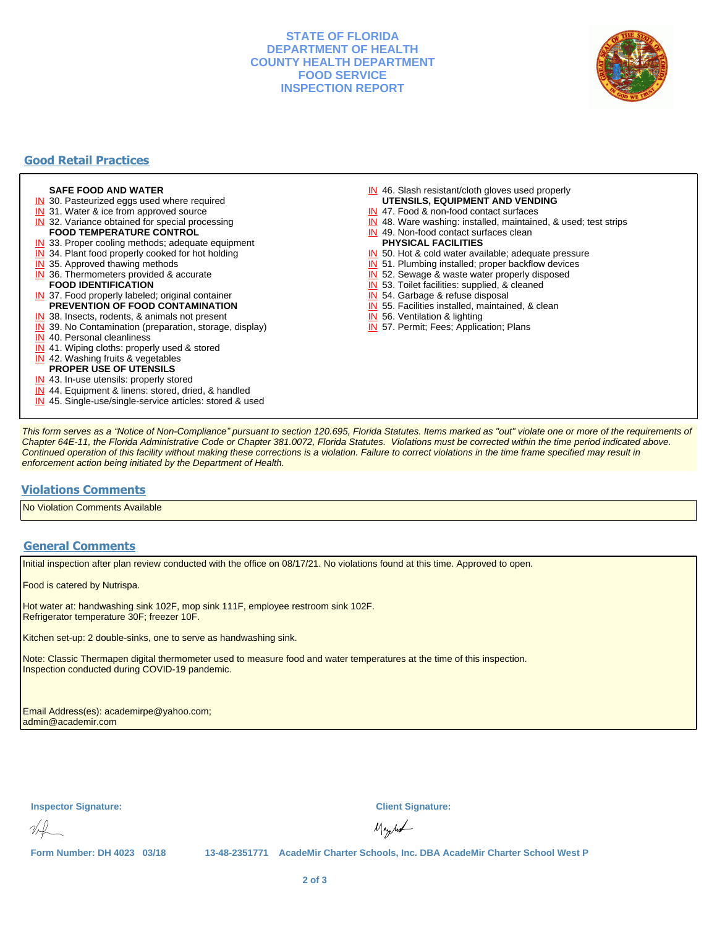## **STATE OF FLORIDA DEPARTMENT OF HEALTH COUNTY HEALTH DEPARTMENT FOOD SERVICE INSPECTION REPORT**



# **Good Retail Practices**

#### **SAFE FOOD AND WATER**

- **IN** 30. Pasteurized eggs used where required
- IN 31. Water & ice from approved source
- **IN** 32. Variance obtained for special processing **FOOD TEMPERATURE CONTROL**
- 
- **IN** 33. Proper cooling methods; adequate equipment
- **IN** 34. Plant food properly cooked for hot holding
- **IN** 35. Approved thawing methods
- IN 36. Thermometers provided & accurate **FOOD IDENTIFICATION**
- IN 37. Food properly labeled; original container **PREVENTION OF FOOD CONTAMINATION**
- IN 38. Insects, rodents, & animals not present
- **IN** 39. No Contamination (preparation, storage, display)
- IN 40. Personal cleanliness
- IN 41. Wiping cloths: properly used & stored
- IN 42. Washing fruits & vegetables
- **PROPER USE OF UTENSILS**
- IN 43. In-use utensils: properly stored
- IN 44. Equipment & linens: stored, dried, & handled
- IN 45. Single-use/single-service articles: stored & used
- IN 46. Slash resistant/cloth gloves used properly **UTENSILS, EQUIPMENT AND VENDING**
- IN 47. Food & non-food contact surfaces
- IN 48. Ware washing: installed, maintained, & used; test strips
- IN 49. Non-food contact surfaces clean
- **PHYSICAL FACILITIES**
- IN 50. Hot & cold water available; adequate pressure
- IN 51. Plumbing installed; proper backflow devices
- IN 52. Sewage & waste water properly disposed
- IN 53. Toilet facilities: supplied, & cleaned
- IN 54. Garbage & refuse disposal
- IN 55. Facilities installed, maintained, & clean
- IN 56. Ventilation & lighting
- IN 57. Permit; Fees; Application; Plans

This form serves as a "Notice of Non-Compliance" pursuant to section 120.695, Florida Statutes. Items marked as "out" violate one or more of the requirements of Chapter 64E-11, the Florida Administrative Code or Chapter 381.0072, Florida Statutes. Violations must be corrected within the time period indicated above. Continued operation of this facility without making these corrections is a violation. Failure to correct violations in the time frame specified may result in enforcement action being initiated by the Department of Health.

#### **Violations Comments**

No Violation Comments Available

#### **General Comments**

Initial inspection after plan review conducted with the office on 08/17/21. No violations found at this time. Approved to open.

Food is catered by Nutrispa.

Hot water at: handwashing sink 102F, mop sink 111F, employee restroom sink 102F. Refrigerator temperature 30F; freezer 10F.

Kitchen set-up: 2 double-sinks, one to serve as handwashing sink.

Note: Classic Thermapen digital thermometer used to measure food and water temperatures at the time of this inspection. Inspection conducted during COVID-19 pandemic.

Email Address(es): academirpe@yahoo.com; admin@academir.com

**Inspector Signature: Client Signature:**

Maybear

**Form Number: DH 4023 03/18 13-48-2351771 AcadeMir Charter Schools, Inc. DBA AcadeMir Charter School West P**